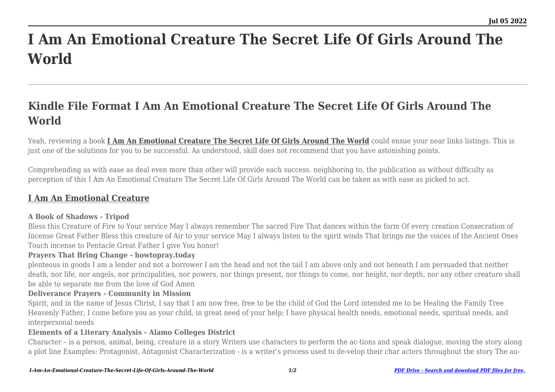# **I Am An Emotional Creature The Secret Life Of Girls Around The World**

## **Kindle File Format I Am An Emotional Creature The Secret Life Of Girls Around The World**

Yeah, reviewing a book **[I Am An Emotional Creature The Secret Life Of Girls Around The World](http://goldwoodgardens.com)** could ensue your near links listings. This is just one of the solutions for you to be successful. As understood, skill does not recommend that you have astonishing points.

Comprehending as with ease as deal even more than other will provide each success. neighboring to, the publication as without difficulty as perception of this I Am An Emotional Creature The Secret Life Of Girls Around The World can be taken as with ease as picked to act.

### **[I Am An Emotional Creature](http://goldwoodgardens.com/I-Am-An-Emotional-Creature-The-Secret-Life-Of-Girls-Around-The-World.pdf)**

#### **A Book of Shadows - Tripod**

Bless this Creature of Fire to Your service May I always remember The sacred Fire That dances within the form Of every creation Consecration of Incense Great Father Bless this creature of Air to your service May I always listen to the spirit winds That brings me the voices of the Ancient Ones Touch incense to Pentacle Great Father I give You honor!

#### **Prayers That Bring Change - howtopray.today**

plenteous in goods I am a lender and not a borrower I am the head and not the tail I am above only and not beneath I am persuaded that neither death, nor life, nor angels, nor principalities, nor powers, nor things present, nor things to come, nor height, nor depth, nor any other creature shall be able to separate me from the love of God Amen

#### **Deliverance Prayers - Community in Mission**

Spirit, and in the name of Jesus Christ, I say that I am now free, free to be the child of God the Lord intended me to be Healing the Family Tree Heavenly Father, I come before you as your child, in great need of your help; I have physical health needs, emotional needs, spiritual needs, and interpersonal needs

#### **Elements of a Literary Analysis - Alamo Colleges District**

Character – is a person, animal, being, creature in a story Writers use characters to perform the ac-tions and speak dialogue, moving the story along a plot line Examples: Protagonist, Antagonist Characterization - is a writer's process used to de-velop their char acters throughout the story The au-